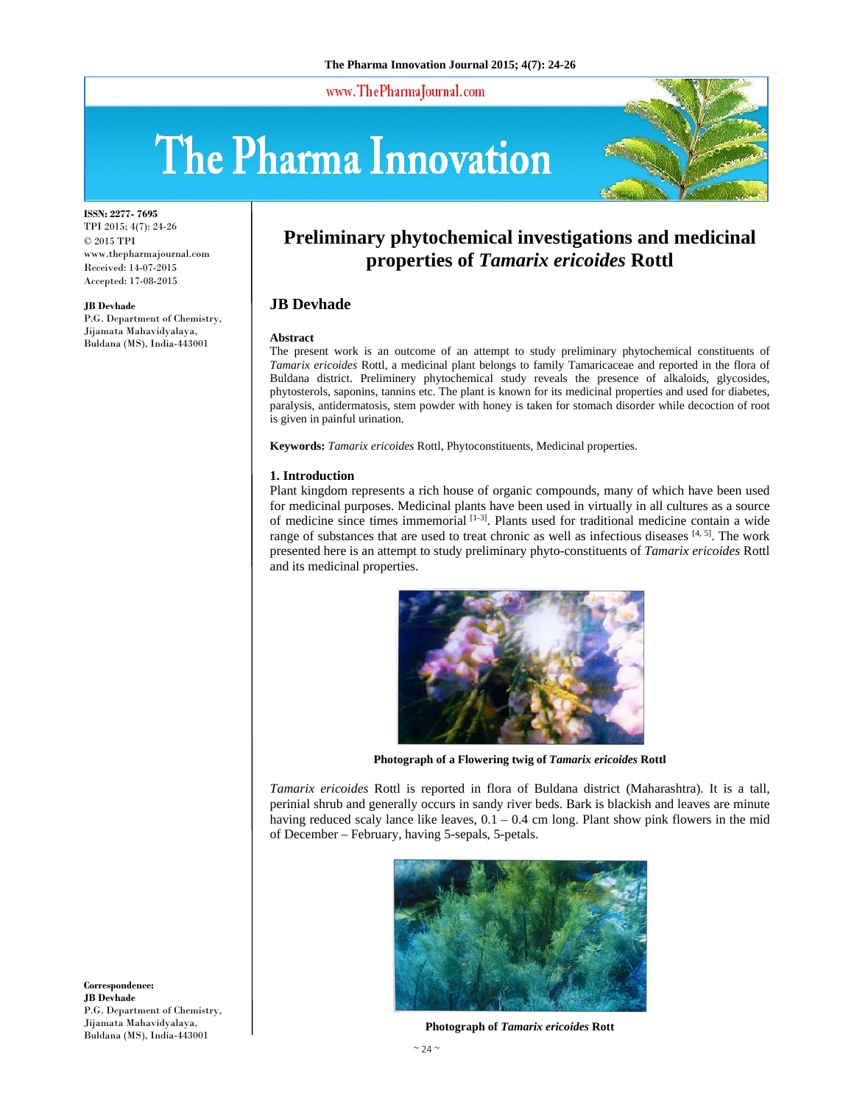www.ThePharmaJournal.com

# The Pharma Innovation



**ISSN: 2277- 7695** TPI 2015; 4(7): 24-26 © 2015 TPI www.thepharmajournal.com Received: 14-07-2015 Accepted: 17-08-2015

#### **JB Devhade**

P.G. Department of Chemistry, Jijamata Mahavidyalaya, Buldana (MS), India-443001

# **Preliminary phytochemical investigations and medicinal properties of** *Tamarix ericoides* **Rottl**

# **JB Devhade**

#### **Abstract**

The present work is an outcome of an attempt to study preliminary phytochemical constituents of *Tamarix ericoides* Rottl, a medicinal plant belongs to family Tamaricaceae and reported in the flora of Buldana district. Preliminery phytochemical study reveals the presence of alkaloids, glycosides, phytosterols, saponins, tannins etc. The plant is known for its medicinal properties and used for diabetes, paralysis, antidermatosis, stem powder with honey is taken for stomach disorder while decoction of root is given in painful urination.

**Keywords:** *Tamarix ericoides* Rottl, Phytoconstituents, Medicinal properties.

#### **1. Introduction**

Plant kingdom represents a rich house of organic compounds, many of which have been used for medicinal purposes. Medicinal plants have been used in virtually in all cultures as a source of medicine since times immemorial [1-3]. Plants used for traditional medicine contain a wide range of substances that are used to treat chronic as well as infectious diseases  $[4, 5]$ . The work presented here is an attempt to study preliminary phyto-constituents of *Tamarix ericoides* Rottl and its medicinal properties.



**Photograph of a Flowering twig of** *Tamarix ericoides* **Rottl** 

*Tamarix ericoides* Rottl is reported in flora of Buldana district (Maharashtra). It is a tall, perinial shrub and generally occurs in sandy river beds. Bark is blackish and leaves are minute having reduced scaly lance like leaves,  $0.1 - 0.4$  cm long. Plant show pink flowers in the mid of December – February, having 5-sepals, 5-petals.



**Photograph of** *Tamarix ericoides* **Rott**

**Correspondence: JB Devhade**  P.G. Department of Chemistry, Jijamata Mahavidyalaya, Buldana (MS), India-443001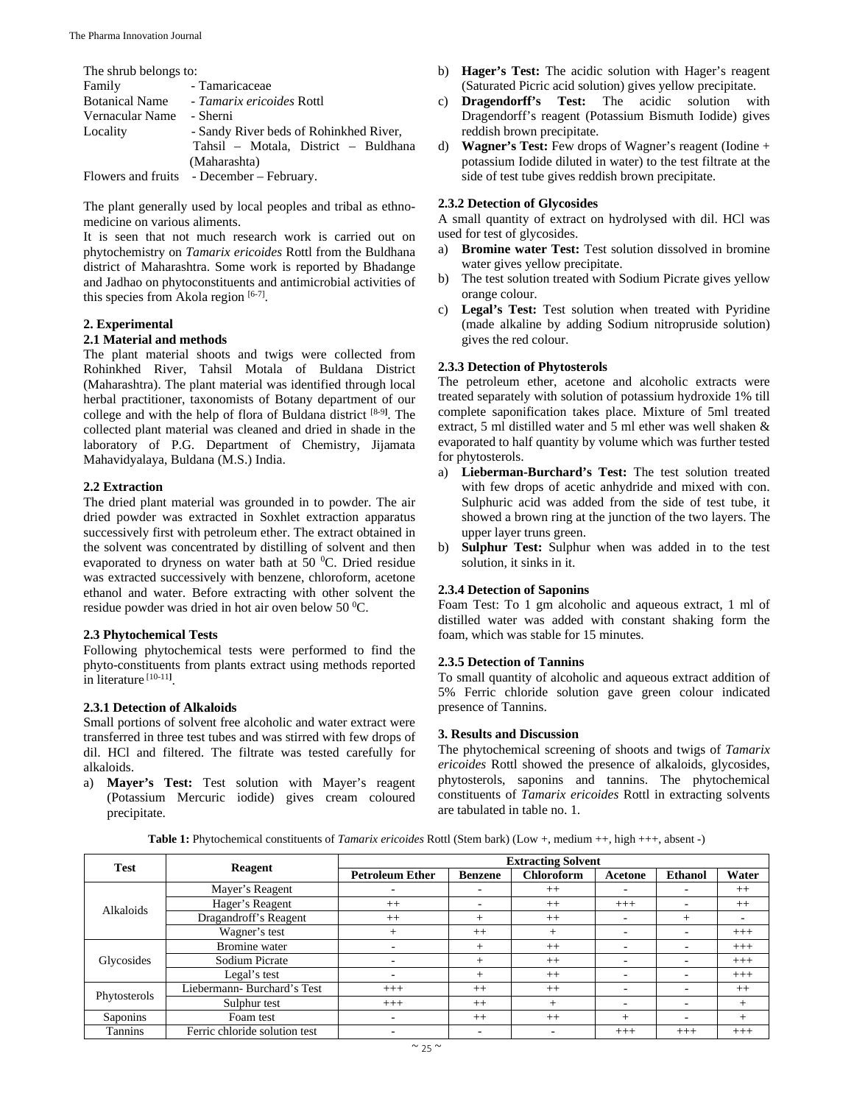| The shrub belongs to:    |                                           |  |  |  |  |  |
|--------------------------|-------------------------------------------|--|--|--|--|--|
| Family                   | - Tamaricaceae                            |  |  |  |  |  |
|                          | Botanical Name - Tamarix ericoides Rottl  |  |  |  |  |  |
| Vernacular Name - Sherni |                                           |  |  |  |  |  |
| Locality                 | - Sandy River beds of Rohinkhed River,    |  |  |  |  |  |
|                          | Tahsil – Motala, District – Buldhana      |  |  |  |  |  |
|                          | (Maharashta)                              |  |  |  |  |  |
|                          | Flowers and fruits - December – February. |  |  |  |  |  |

The plant generally used by local peoples and tribal as ethnomedicine on various aliments.

It is seen that not much research work is carried out on phytochemistry on *Tamarix ericoides* Rottl from the Buldhana district of Maharashtra. Some work is reported by Bhadange and Jadhao on phytoconstituents and antimicrobial activities of this species from Akola region [6-7].

# **2. Experimental**

#### **2.1 Material and methods**

The plant material shoots and twigs were collected from Rohinkhed River, Tahsil Motala of Buldana District (Maharashtra). The plant material was identified through local herbal practitioner, taxonomists of Botany department of our college and with the help of flora of Buldana district [8-9**]** . The collected plant material was cleaned and dried in shade in the laboratory of P.G. Department of Chemistry, Jijamata Mahavidyalaya, Buldana (M.S.) India.

# **2.2 Extraction**

The dried plant material was grounded in to powder. The air dried powder was extracted in Soxhlet extraction apparatus successively first with petroleum ether. The extract obtained in the solvent was concentrated by distilling of solvent and then evaporated to dryness on water bath at 50 °C. Dried residue was extracted successively with benzene, chloroform, acetone ethanol and water. Before extracting with other solvent the residue powder was dried in hot air oven below  $50^{\circ}$ C.

# **2.3 Phytochemical Tests**

Following phytochemical tests were performed to find the phyto-constituents from plants extract using methods reported in literature [10-11**]** .

# **2.3.1 Detection of Alkaloids**

Small portions of solvent free alcoholic and water extract were transferred in three test tubes and was stirred with few drops of dil. HCl and filtered. The filtrate was tested carefully for alkaloids.

a) **Mayer's Test:** Test solution with Mayer's reagent (Potassium Mercuric iodide) gives cream coloured precipitate.

- b) **Hager's Test:** The acidic solution with Hager's reagent (Saturated Picric acid solution) gives yellow precipitate.
- c) **Dragendorff's Test:** The acidic solution with Dragendorff's reagent (Potassium Bismuth Iodide) gives reddish brown precipitate.
- d) **Wagner's Test:** Few drops of Wagner's reagent (Iodine + potassium Iodide diluted in water) to the test filtrate at the side of test tube gives reddish brown precipitate.

#### **2.3.2 Detection of Glycosides**

A small quantity of extract on hydrolysed with dil. HCl was used for test of glycosides.

- a) **Bromine water Test:** Test solution dissolved in bromine water gives yellow precipitate.
- b) The test solution treated with Sodium Picrate gives yellow orange colour.
- c) **Legal's Test:** Test solution when treated with Pyridine (made alkaline by adding Sodium nitropruside solution) gives the red colour.

#### **2.3.3 Detection of Phytosterols**

The petroleum ether, acetone and alcoholic extracts were treated separately with solution of potassium hydroxide 1% till complete saponification takes place. Mixture of 5ml treated extract, 5 ml distilled water and 5 ml ether was well shaken & evaporated to half quantity by volume which was further tested for phytosterols.

- a) **Lieberman-Burchard's Test:** The test solution treated with few drops of acetic anhydride and mixed with con. Sulphuric acid was added from the side of test tube, it showed a brown ring at the junction of the two layers. The upper layer truns green.
- b) **Sulphur Test:** Sulphur when was added in to the test solution, it sinks in it.

# **2.3.4 Detection of Saponins**

Foam Test: To 1 gm alcoholic and aqueous extract, 1 ml of distilled water was added with constant shaking form the foam, which was stable for 15 minutes.

# **2.3.5 Detection of Tannins**

To small quantity of alcoholic and aqueous extract addition of 5% Ferric chloride solution gave green colour indicated presence of Tannins.

#### **3. Results and Discussion**

The phytochemical screening of shoots and twigs of *Tamarix ericoides* Rottl showed the presence of alkaloids, glycosides, phytosterols, saponins and tannins. The phytochemical constituents of *Tamarix ericoides* Rottl in extracting solvents are tabulated in table no. 1.

**Table 1:** Phytochemical constituents of *Tamarix ericoides* Rottl (Stem bark) (Low +, medium ++, high +++, absent -)

| <b>Test</b>      |                               | <b>Extracting Solvent</b> |                |                   |                          |                          |         |
|------------------|-------------------------------|---------------------------|----------------|-------------------|--------------------------|--------------------------|---------|
|                  | Reagent                       | <b>Petroleum Ether</b>    | <b>Benzene</b> | <b>Chloroform</b> | Acetone                  | <b>Ethanol</b>           | Water   |
| <b>Alkaloids</b> | Mayer's Reagent               |                           |                | $++$              |                          |                          | $++$    |
|                  | Hager's Reagent               | $++$                      | -              | $++$              | $+++$                    | -                        | $^{++}$ |
|                  | Dragandroff's Reagent         | $++$                      | $^{+}$         | $++$              | $\overline{\phantom{a}}$ | $^{+}$                   |         |
|                  | Wagner's test                 | $^{+}$                    | $++$           | $^+$              |                          | ۰                        | $+++$   |
| Glycosides       | <b>Bromine</b> water          |                           | $\pm$          | $++$              | $\overline{\phantom{0}}$ | ۰                        | $+++$   |
|                  | Sodium Picrate                |                           | $\pm$          | $++$              | -                        | ۰                        | $+++$   |
|                  | Legal's test                  |                           | $^+$           | $++$              | -                        | $\overline{\phantom{a}}$ | $+++$   |
| Phytosterols     | Liebermann- Burchard's Test   | $+++$                     | $++$           | $++$              | $\overline{\phantom{a}}$ | ۰                        | $++$    |
|                  | Sulphur test                  | $+++$                     | $++$           |                   |                          | ۰                        | $^{+}$  |
| Saponins         | Foam test                     |                           | $++$           | $++$              | $^{+}$                   | $\overline{\phantom{0}}$ | $^{+}$  |
| <b>Tannins</b>   | Ferric chloride solution test |                           | -              |                   | $+++$                    | $+++$                    | $+++$   |